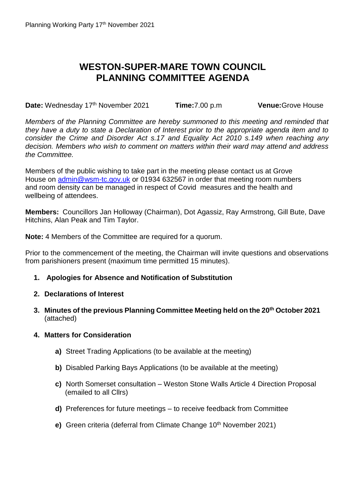## **WESTON-SUPER-MARE TOWN COUNCIL PLANNING COMMITTEE AGENDA**

**Date:** Wednesday 17<sup>th</sup> November 2021 **Time:**7.00 p.m **Venue:**Grove House

*Members of the Planning Committee are hereby summoned to this meeting and reminded that they have a duty to state a Declaration of Interest prior to the appropriate agenda item and to consider the Crime and Disorder Act s.17 and Equality Act 2010 s.149 when reaching any decision. Members who wish to comment on matters within their ward may attend and address the Committee.*

Members of the public wishing to take part in the meeting please contact us at Grove House on [admin@wsm-tc.gov.uk](mailto:admin@wsm-tc.gov.uk) or 01934 632567 in order that meeting room numbers and room density can be managed in respect of Covid measures and the health and wellbeing of attendees.

**Members:** Councillors Jan Holloway (Chairman), Dot Agassiz, Ray Armstrong, Gill Bute, Dave Hitchins, Alan Peak and Tim Taylor.

**Note:** 4 Members of the Committee are required for a quorum.

Prior to the commencement of the meeting, the Chairman will invite questions and observations from parishioners present (maximum time permitted 15 minutes).

**1. Apologies for Absence and Notification of Substitution**

## **2. Declarations of Interest**

**3. Minutes of the previous Planning Committee Meeting held on the 20th October 2021** (attached)

## **4. Matters for Consideration**

- **a)** Street Trading Applications (to be available at the meeting)
- **b)** Disabled Parking Bays Applications (to be available at the meeting)
- **c)** North Somerset consultation Weston Stone Walls Article 4 Direction Proposal (emailed to all Cllrs)
- **d)** Preferences for future meetings to receive feedback from Committee
- **e)** Green criteria (deferral from Climate Change 10<sup>th</sup> November 2021)